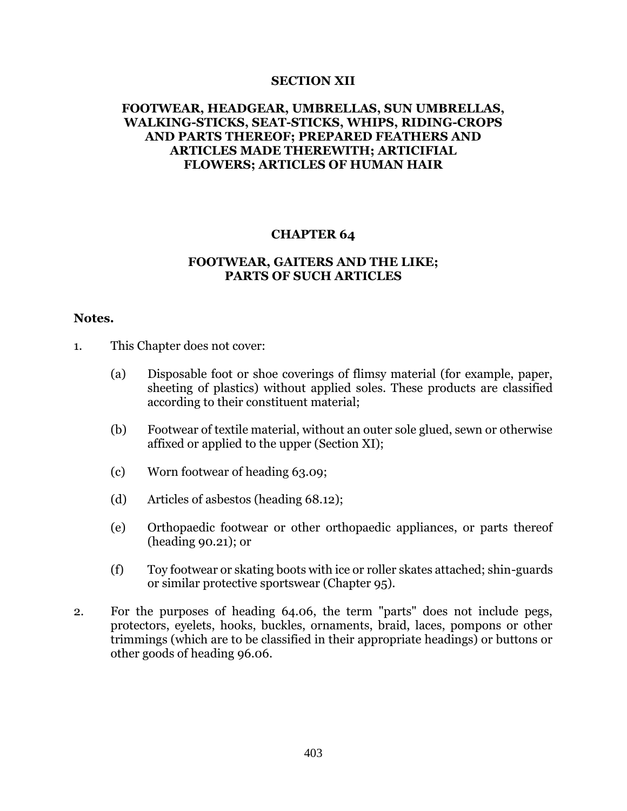### **SECTION XII**

# **FOOTWEAR, HEADGEAR, UMBRELLAS, SUN UMBRELLAS, WALKING-STICKS, SEAT-STICKS, WHIPS, RIDING-CROPS AND PARTS THEREOF; PREPARED FEATHERS AND ARTICLES MADE THEREWITH; ARTICIFIAL FLOWERS; ARTICLES OF HUMAN HAIR**

#### **CHAPTER 64**

## **FOOTWEAR, GAITERS AND THE LIKE; PARTS OF SUCH ARTICLES**

#### **Notes.**

- 1. This Chapter does not cover:
	- (a) Disposable foot or shoe coverings of flimsy material (for example, paper, sheeting of plastics) without applied soles. These products are classified according to their constituent material;
	- (b) Footwear of textile material, without an outer sole glued, sewn or otherwise affixed or applied to the upper (Section XI);
	- (c) Worn footwear of heading 63.09;
	- (d) Articles of asbestos (heading 68.12);
	- (e) Orthopaedic footwear or other orthopaedic appliances, or parts thereof (heading 90.21); or
	- (f) Toy footwear or skating boots with ice or roller skates attached; shin-guards or similar protective sportswear (Chapter 95).
- 2. For the purposes of heading 64.06, the term "parts" does not include pegs, protectors, eyelets, hooks, buckles, ornaments, braid, laces, pompons or other trimmings (which are to be classified in their appropriate headings) or buttons or other goods of heading 96.06.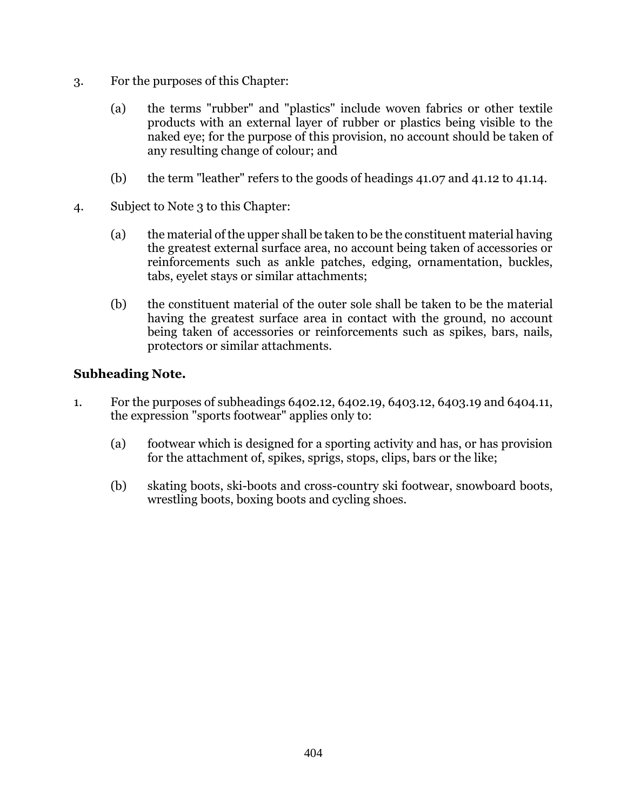- 3. For the purposes of this Chapter:
	- (a) the terms "rubber" and "plastics" include woven fabrics or other textile products with an external layer of rubber or plastics being visible to the naked eye; for the purpose of this provision, no account should be taken of any resulting change of colour; and
	- (b) the term "leather" refers to the goods of headings 41.07 and 41.12 to 41.14.
- 4. Subject to Note 3 to this Chapter:
	- (a) the material of the upper shall be taken to be the constituent material having the greatest external surface area, no account being taken of accessories or reinforcements such as ankle patches, edging, ornamentation, buckles, tabs, eyelet stays or similar attachments;
	- (b) the constituent material of the outer sole shall be taken to be the material having the greatest surface area in contact with the ground, no account being taken of accessories or reinforcements such as spikes, bars, nails, protectors or similar attachments.

# **Subheading Note.**

- 1. For the purposes of subheadings 6402.12, 6402.19, 6403.12, 6403.19 and 6404.11, the expression "sports footwear" applies only to:
	- (a) footwear which is designed for a sporting activity and has, or has provision for the attachment of, spikes, sprigs, stops, clips, bars or the like;
	- (b) skating boots, ski-boots and cross-country ski footwear, snowboard boots, wrestling boots, boxing boots and cycling shoes.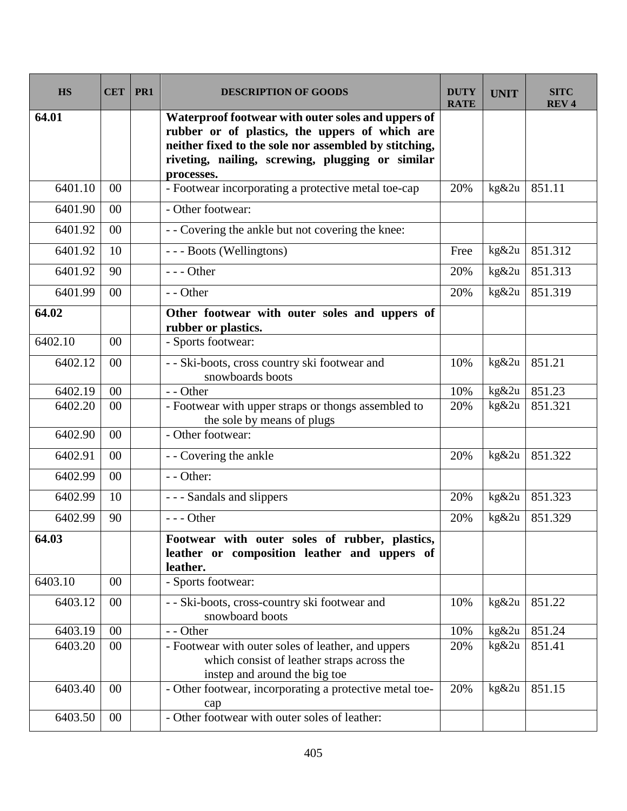| <b>HS</b> | <b>CET</b>     | PR <sub>1</sub> | <b>DESCRIPTION OF GOODS</b>                                                                                                                                                                                                     | DUTY<br><b>RATE</b> | <b>UNIT</b> | <b>SITC</b><br><b>REV4</b> |
|-----------|----------------|-----------------|---------------------------------------------------------------------------------------------------------------------------------------------------------------------------------------------------------------------------------|---------------------|-------------|----------------------------|
| 64.01     |                |                 | Waterproof footwear with outer soles and uppers of<br>rubber or of plastics, the uppers of which are<br>neither fixed to the sole nor assembled by stitching,<br>riveting, nailing, screwing, plugging or similar<br>processes. |                     |             |                            |
| 6401.10   | 00             |                 | - Footwear incorporating a protective metal toe-cap                                                                                                                                                                             | 20%                 | kg&2u       | 851.11                     |
| 6401.90   | 00             |                 | - Other footwear:                                                                                                                                                                                                               |                     |             |                            |
| 6401.92   | 00             |                 | - - Covering the ankle but not covering the knee:                                                                                                                                                                               |                     |             |                            |
| 6401.92   | 10             |                 | --- Boots (Wellingtons)                                                                                                                                                                                                         | Free                | kg&2u       | 851.312                    |
| 6401.92   | 90             |                 | $--$ Other                                                                                                                                                                                                                      | 20%                 | kg&2u       | 851.313                    |
| 6401.99   | 00             |                 | - - Other                                                                                                                                                                                                                       | 20%                 | kg&2u       | 851.319                    |
| 64.02     |                |                 | Other footwear with outer soles and uppers of<br>rubber or plastics.                                                                                                                                                            |                     |             |                            |
| 6402.10   | 00             |                 | - Sports footwear:                                                                                                                                                                                                              |                     |             |                            |
| 6402.12   | 0 <sub>0</sub> |                 | - - Ski-boots, cross country ski footwear and<br>snowboards boots                                                                                                                                                               | 10%                 | kg&2u       | 851.21                     |
| 6402.19   | 0 <sub>0</sub> |                 | - - Other                                                                                                                                                                                                                       | 10%                 | kg&2u       | 851.23                     |
| 6402.20   | 00             |                 | - Footwear with upper straps or thongs assembled to<br>the sole by means of plugs                                                                                                                                               | 20%                 | kg&2u       | 851.321                    |
| 6402.90   | 00             |                 | - Other footwear:                                                                                                                                                                                                               |                     |             |                            |
| 6402.91   | 00             |                 | - - Covering the ankle                                                                                                                                                                                                          | 20%                 | kg&2u       | 851.322                    |
| 6402.99   | 00             |                 | - - Other:                                                                                                                                                                                                                      |                     |             |                            |
| 6402.99   | 10             |                 | - - - Sandals and slippers                                                                                                                                                                                                      | 20%                 | kg&2u       | 851.323                    |
| 6402.99   | 90             |                 | $--$ Other                                                                                                                                                                                                                      | 20%                 | kg&2u       | 851.329                    |
| 64.03     |                |                 | Footwear with outer soles of rubber, plastics,<br>leather or composition leather and uppers of<br>leather.                                                                                                                      |                     |             |                            |
| 6403.10   | $00\,$         |                 | - Sports footwear:                                                                                                                                                                                                              |                     |             |                            |
| 6403.12   | $00\,$         |                 | - - Ski-boots, cross-country ski footwear and<br>snowboard boots                                                                                                                                                                | 10%                 | kg&2u       | 851.22                     |
| 6403.19   | $00\,$         |                 | - - Other                                                                                                                                                                                                                       | 10%                 | kg&2u       | 851.24                     |
| 6403.20   | $00\,$         |                 | - Footwear with outer soles of leather, and uppers<br>which consist of leather straps across the<br>instep and around the big toe                                                                                               | 20%                 | kg&2u       | 851.41                     |
| 6403.40   | 00             |                 | - Other footwear, incorporating a protective metal toe-<br>cap                                                                                                                                                                  | 20%                 | kg&2u       | 851.15                     |
| 6403.50   | $00\,$         |                 | - Other footwear with outer soles of leather:                                                                                                                                                                                   |                     |             |                            |